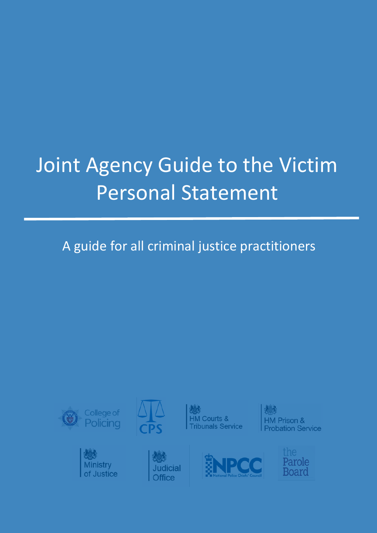# Joint Agency Guide to the Victim Personal Statement

# A guide for all criminal justice practitioners

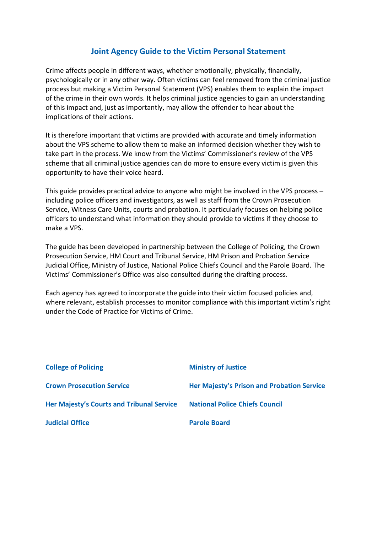### **Joint Agency Guide to the Victim Personal Statement**

Crime affects people in different ways, whether emotionally, physically, financially, psychologically or in any other way. Often victims can feel removed from the criminal justice process but making a Victim Personal Statement (VPS) enables them to explain the impact of the crime in their own words. It helps criminal justice agencies to gain an understanding of this impact and, just as importantly, may allow the offender to hear about the implications of their actions.

It is therefore important that victims are provided with accurate and timely information about the VPS scheme to allow them to make an informed decision whether they wish to take part in the process. We know from the Victims' Commissioner's review of the VPS scheme that all criminal justice agencies can do more to ensure every victim is given this opportunity to have their voice heard.

This guide provides practical advice to anyone who might be involved in the VPS process – including police officers and investigators, as well as staff from the Crown Prosecution Service, Witness Care Units, courts and probation. It particularly focuses on helping police officers to understand what information they should provide to victims if they choose to make a VPS.

The guide has been developed in partnership between the College of Policing, the Crown Prosecution Service, HM Court and Tribunal Service, HM Prison and Probation Service Judicial Office, Ministry of Justice, National Police Chiefs Council and the Parole Board. The Victims' Commissioner's Office was also consulted during the drafting process.

Each agency has agreed to incorporate the guide into their victim focused policies and, where relevant, establish processes to monitor compliance with this important victim's right under the Code of Practice for Victims of Crime.

| <b>College of Policing</b>                | <b>Ministry of Justice</b>                 |
|-------------------------------------------|--------------------------------------------|
| <b>Crown Prosecution Service</b>          | Her Majesty's Prison and Probation Service |
| Her Majesty's Courts and Tribunal Service | <b>National Police Chiefs Council</b>      |
| <b>Judicial Office</b>                    | <b>Parole Board</b>                        |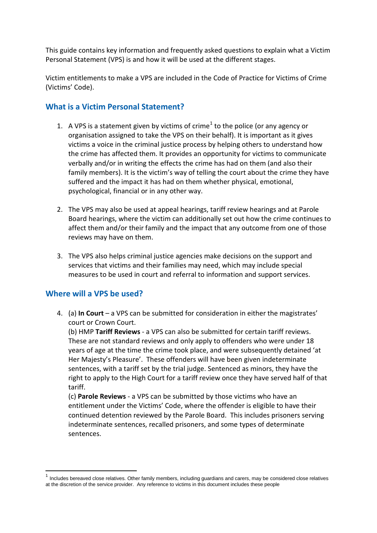This guide contains key information and frequently asked questions to explain what a Victim Personal Statement (VPS) is and how it will be used at the different stages.

Victim entitlements to make a VPS are included in the Code of Practice for Victims of Crime (Victims' Code).

#### **What is a Victim Personal Statement?**

- [1](#page-2-0). A VPS is a statement given by victims of crime<sup>1</sup> to the police (or any agency or organisation assigned to take the VPS on their behalf). It is important as it gives victims a voice in the criminal justice process by helping others to understand how the crime has affected them. It provides an opportunity for victims to communicate verbally and/or in writing the effects the crime has had on them (and also their family members). It is the victim's way of telling the court about the crime they have suffered and the impact it has had on them whether physical, emotional, psychological, financial or in any other way.
- 2. The VPS may also be used at appeal hearings, tariff review hearings and at Parole Board hearings, where the victim can additionally set out how the crime continues to affect them and/or their family and the impact that any outcome from one of those reviews may have on them.
- 3. The VPS also helps criminal justice agencies make decisions on the support and services that victims and their families may need, which may include special measures to be used in court and referral to information and support services.

#### **Where will a VPS be used?**

4. (a) **In Court** – a VPS can be submitted for consideration in either the magistrates' court or Crown Court.

(b) HMP **Tariff Reviews** - a VPS can also be submitted for certain tariff reviews. These are not standard reviews and only apply to offenders who were under 18 years of age at the time the crime took place, and were subsequently detained 'at Her Majesty's Pleasure'. These offenders will have been given indeterminate sentences, with a tariff set by the trial judge. Sentenced as minors, they have the right to apply to the High Court for a tariff review once they have served half of that tariff.

(c) **Parole Reviews** - a VPS can be submitted by those victims who have an entitlement under the Victims' Code, where the offender is eligible to have their continued detention reviewed by the Parole Board. This includes prisoners serving indeterminate sentences, recalled prisoners, and some types of determinate sentences.

<span id="page-2-0"></span> $1$  Includes bereaved close relatives. Other family members, including guardians and carers, may be considered close relatives at the discretion of the service provider. Any reference to victims in this document includes these people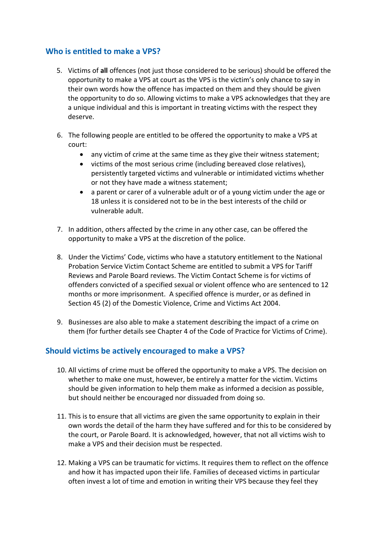#### **Who is entitled to make a VPS?**

- 5. Victims of **all** offences (not just those considered to be serious) should be offered the opportunity to make a VPS at court as the VPS is the victim's only chance to say in their own words how the offence has impacted on them and they should be given the opportunity to do so. Allowing victims to make a VPS acknowledges that they are a unique individual and this is important in treating victims with the respect they deserve.
- 6. The following people are entitled to be offered the opportunity to make a VPS at court:
	- any victim of crime at the same time as they give their witness statement;
	- victims of the most serious crime (including bereaved close relatives), persistently targeted victims and vulnerable or intimidated victims whether or not they have made a witness statement;
	- a parent or carer of a vulnerable adult or of a young victim under the age or 18 unless it is considered not to be in the best interests of the child or vulnerable adult.
- 7. In addition, others affected by the crime in any other case, can be offered the opportunity to make a VPS at the discretion of the police.
- 8. Under the Victims' Code, victims who have a statutory entitlement to the National Probation Service Victim Contact Scheme are entitled to submit a VPS for Tariff Reviews and Parole Board reviews. The Victim Contact Scheme is for victims of offenders convicted of a specified sexual or violent offence who are sentenced to 12 months or more imprisonment. A specified offence is murder, or as defined in Section 45 (2) of the Domestic Violence, Crime and Victims Act 2004.
- 9. Businesses are also able to make a statement describing the impact of a crime on them (for further details see Chapter 4 of the Code of Practice for Victims of Crime).

## **Should victims be actively encouraged to make a VPS?**

- 10. All victims of crime must be offered the opportunity to make a VPS. The decision on whether to make one must, however, be entirely a matter for the victim. Victims should be given information to help them make as informed a decision as possible, but should neither be encouraged nor dissuaded from doing so.
- 11. This is to ensure that all victims are given the same opportunity to explain in their own words the detail of the harm they have suffered and for this to be considered by the court, or Parole Board. It is acknowledged, however, that not all victims wish to make a VPS and their decision must be respected.
- 12. Making a VPS can be traumatic for victims. It requires them to reflect on the offence and how it has impacted upon their life. Families of deceased victims in particular often invest a lot of time and emotion in writing their VPS because they feel they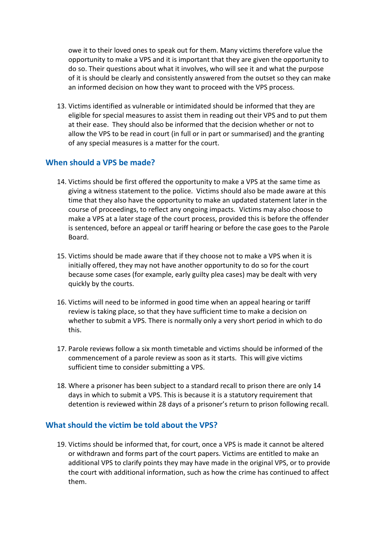owe it to their loved ones to speak out for them. Many victims therefore value the opportunity to make a VPS and it is important that they are given the opportunity to do so. Their questions about what it involves, who will see it and what the purpose of it is should be clearly and consistently answered from the outset so they can make an informed decision on how they want to proceed with the VPS process.

13. Victims identified as vulnerable or intimidated should be informed that they are eligible for special measures to assist them in reading out their VPS and to put them at their ease. They should also be informed that the decision whether or not to allow the VPS to be read in court (in full or in part or summarised) and the granting of any special measures is a matter for the court.

#### **When should a VPS be made?**

- 14. Victims should be first offered the opportunity to make a VPS at the same time as giving a witness statement to the police. Victims should also be made aware at this time that they also have the opportunity to make an updated statement later in the course of proceedings, to reflect any ongoing impacts. Victims may also choose to make a VPS at a later stage of the court process, provided this is before the offender is sentenced, before an appeal or tariff hearing or before the case goes to the Parole Board.
- 15. Victims should be made aware that if they choose not to make a VPS when it is initially offered, they may not have another opportunity to do so for the court because some cases (for example, early guilty plea cases) may be dealt with very quickly by the courts.
- 16. Victims will need to be informed in good time when an appeal hearing or tariff review is taking place, so that they have sufficient time to make a decision on whether to submit a VPS. There is normally only a very short period in which to do this.
- 17. Parole reviews follow a six month timetable and victims should be informed of the commencement of a parole review as soon as it starts. This will give victims sufficient time to consider submitting a VPS.
- 18. Where a prisoner has been subject to a standard recall to prison there are only 14 days in which to submit a VPS. This is because it is a statutory requirement that detention is reviewed within 28 days of a prisoner's return to prison following recall.

#### **What should the victim be told about the VPS?**

19. Victims should be informed that, for court, once a VPS is made it cannot be altered or withdrawn and forms part of the court papers. Victims are entitled to make an additional VPS to clarify points they may have made in the original VPS, or to provide the court with additional information, such as how the crime has continued to affect them.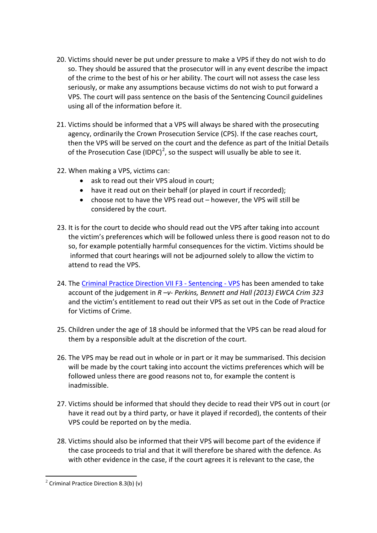- 20. Victims should never be put under pressure to make a VPS if they do not wish to do so. They should be assured that the prosecutor will in any event describe the impact of the crime to the best of his or her ability. The court will not assess the case less seriously, or make any assumptions because victims do not wish to put forward a VPS. The court will pass sentence on the basis of the Sentencing Council guidelines using all of the information before it.
- 21. Victims should be informed that a VPS will always be shared with the prosecuting agency, ordinarily the Crown Prosecution Service (CPS). If the case reaches court, then the VPS will be served on the court and the defence as part of the Initial Details of the Prosecution Case (IDPC)<sup>[2](#page-5-0)</sup>, so the suspect will usually be able to see it.
- 22. When making a VPS, victims can:
	- ask to read out their VPS aloud in court;
	- have it read out on their behalf (or played in court if recorded);
	- choose not to have the VPS read out however, the VPS will still be considered by the court.
- 23. It is for the court to decide who should read out the VPS after taking into account the victim's preferences which will be followed unless there is good reason not to do so, for example potentially harmful consequences for the victim. Victims should be informed that court hearings will not be adjourned solely to allow the victim to attend to read the VPS.
- 24. The [Criminal Practice Direction VII F3 -](http://www.google.co.uk/url?sa=t&rct=j&q=&esrc=s&source=web&cd=4&ved=0ahUKEwjk076DqM3OAhWMKMAKHYKxASMQFgg3MAM&url=http%3A%2F%2Fwww.justice.gov.uk%2Fcourts%2Fprocedure-rules%2Fcriminal%2Fdocs%2F2012%2Fcrim-practice-directions-VII-sentencing-101213.pdf&usg=AFQjCNEN34Fkzd7TwcCzMu3SmmKLaHxRPQ) Sentencing VPS has been amended to take account of the judgement in *R –v- Perkins, Bennett and Hall (2013) EWCA Crim 323* and the victim's entitlement to read out their VPS as set out in the Code of Practice for Victims of Crime.
- 25. Children under the age of 18 should be informed that the VPS can be read aloud for them by a responsible adult at the discretion of the court.
- 26. The VPS may be read out in whole or in part or it may be summarised. This decision will be made by the court taking into account the victims preferences which will be followed unless there are good reasons not to, for example the content is inadmissible.
- 27. Victims should be informed that should they decide to read their VPS out in court (or have it read out by a third party, or have it played if recorded), the contents of their VPS could be reported on by the media.
- 28. Victims should also be informed that their VPS will become part of the evidence if the case proceeds to trial and that it will therefore be shared with the defence. As with other evidence in the case, if the court agrees it is relevant to the case, the

<u>.</u>

<span id="page-5-0"></span><sup>&</sup>lt;sup>2</sup> Criminal Practice Direction 8.3(b) (v)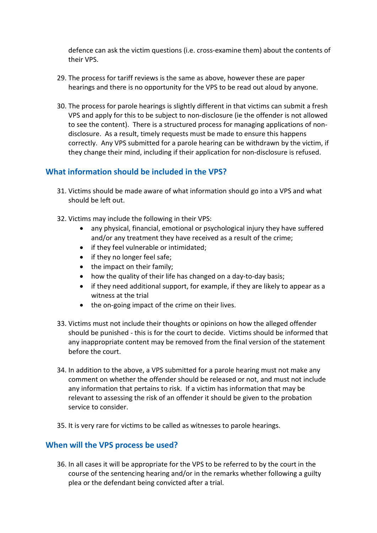defence can ask the victim questions (i.e. cross-examine them) about the contents of their VPS.

- 29. The process for tariff reviews is the same as above, however these are paper hearings and there is no opportunity for the VPS to be read out aloud by anyone.
- 30. The process for parole hearings is slightly different in that victims can submit a fresh VPS and apply for this to be subject to non-disclosure (ie the offender is not allowed to see the content). There is a structured process for managing applications of nondisclosure. As a result, timely requests must be made to ensure this happens correctly. Any VPS submitted for a parole hearing can be withdrawn by the victim, if they change their mind, including if their application for non-disclosure is refused.

#### **What information should be included in the VPS?**

- 31. Victims should be made aware of what information should go into a VPS and what should be left out.
- 32. Victims may include the following in their VPS:
	- any physical, financial, emotional or psychological injury they have suffered and/or any treatment they have received as a result of the crime;
	- if they feel vulnerable or intimidated;
	- if they no longer feel safe;
	- the impact on their family;
	- how the quality of their life has changed on a day-to-day basis;
	- if they need additional support, for example, if they are likely to appear as a witness at the trial
	- the on-going impact of the crime on their lives.
- 33. Victims must not include their thoughts or opinions on how the alleged offender should be punished - this is for the court to decide. Victims should be informed that any inappropriate content may be removed from the final version of the statement before the court.
- 34. In addition to the above, a VPS submitted for a parole hearing must not make any comment on whether the offender should be released or not, and must not include any information that pertains to risk. If a victim has information that may be relevant to assessing the risk of an offender it should be given to the probation service to consider.
- 35. It is very rare for victims to be called as witnesses to parole hearings.

#### **When will the VPS process be used?**

36. In all cases it will be appropriate for the VPS to be referred to by the court in the course of the sentencing hearing and/or in the remarks whether following a guilty plea or the defendant being convicted after a trial.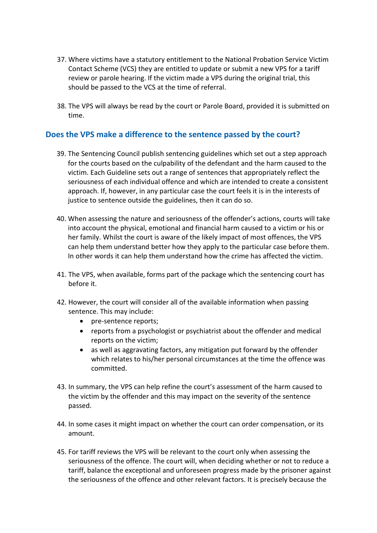- 37. Where victims have a statutory entitlement to the National Probation Service Victim Contact Scheme (VCS) they are entitled to update or submit a new VPS for a tariff review or parole hearing. If the victim made a VPS during the original trial, this should be passed to the VCS at the time of referral.
- 38. The VPS will always be read by the court or Parole Board, provided it is submitted on time.

#### **Does the VPS make a difference to the sentence passed by the court?**

- 39. The Sentencing Council publish sentencing guidelines which set out a step approach for the courts based on the culpability of the defendant and the harm caused to the victim. Each Guideline sets out a range of sentences that appropriately reflect the seriousness of each individual offence and which are intended to create a consistent approach. If, however, in any particular case the court feels it is in the interests of justice to sentence outside the guidelines, then it can do so.
- 40. When assessing the nature and seriousness of the offender's actions, courts will take into account the physical, emotional and financial harm caused to a victim or his or her family. Whilst the court is aware of the likely impact of most offences, the VPS can help them understand better how they apply to the particular case before them. In other words it can help them understand how the crime has affected the victim.
- 41. The VPS, when available, forms part of the package which the sentencing court has before it.
- 42. However, the court will consider all of the available information when passing sentence. This may include:
	- pre-sentence reports;
	- reports from a psychologist or psychiatrist about the offender and medical reports on the victim;
	- as well as aggravating factors, any mitigation put forward by the offender which relates to his/her personal circumstances at the time the offence was committed.
- 43. In summary, the VPS can help refine the court's assessment of the harm caused to the victim by the offender and this may impact on the severity of the sentence passed.
- 44. In some cases it might impact on whether the court can order compensation, or its amount.
- 45. For tariff reviews the VPS will be relevant to the court only when assessing the seriousness of the offence. The court will, when deciding whether or not to reduce a tariff, balance the exceptional and unforeseen progress made by the prisoner against the seriousness of the offence and other relevant factors. It is precisely because the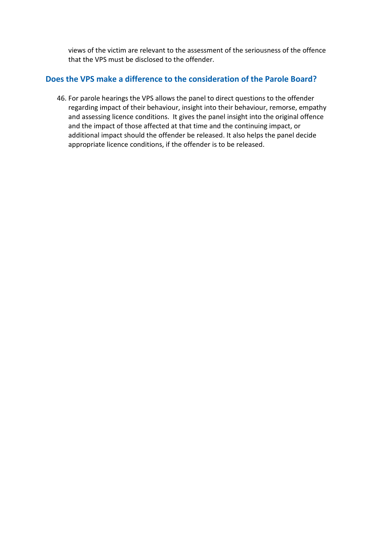views of the victim are relevant to the assessment of the seriousness of the offence that the VPS must be disclosed to the offender.

#### **Does the VPS make a difference to the consideration of the Parole Board?**

46. For parole hearings the VPS allows the panel to direct questions to the offender regarding impact of their behaviour, insight into their behaviour, remorse, empathy and assessing licence conditions. It gives the panel insight into the original offence and the impact of those affected at that time and the continuing impact, or additional impact should the offender be released. It also helps the panel decide appropriate licence conditions, if the offender is to be released.